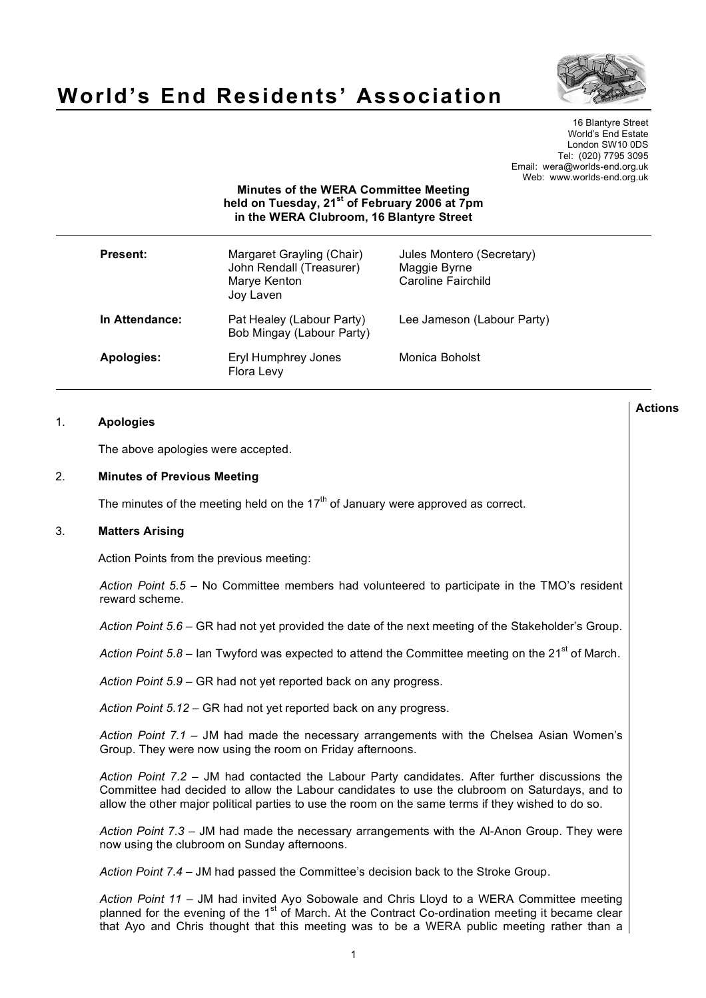

# **World's End Residents' Association**

16 Blantyre Street World's End Estate London SW10 0DS Tel: (020) 7795 3095 Email: wera@worlds-end.org.uk Web: www.worlds-end.org.uk

# **Minutes of the WERA Committee Meeting held on Tuesday, 21st of February 2006 at 7pm in the WERA Clubroom, 16 Blantyre Street**

| <b>Present:</b> | Margaret Grayling (Chair)<br>John Rendall (Treasurer)<br>Marye Kenton<br>Joy Laven | Jules Montero (Secretary)<br>Maggie Byrne<br>Caroline Fairchild |
|-----------------|------------------------------------------------------------------------------------|-----------------------------------------------------------------|
| In Attendance:  | Pat Healey (Labour Party)<br>Bob Mingay (Labour Party)                             | Lee Jameson (Labour Party)                                      |
| Apologies:      | Eryl Humphrey Jones<br>Flora Levy                                                  | Monica Boholst                                                  |

## 1. **Apologies**

The above apologies were accepted.

#### 2. **Minutes of Previous Meeting**

The minutes of the meeting held on the  $17<sup>th</sup>$  of January were approved as correct.

#### 3. **Matters Arising**

Action Points from the previous meeting:

*Action Point 5.5* – No Committee members had volunteered to participate in the TMO's resident reward scheme.

*Action Point 5.6* – GR had not yet provided the date of the next meeting of the Stakeholder's Group.

Action Point 5.8 – Ian Twyford was expected to attend the Committee meeting on the 21<sup>st</sup> of March.

*Action Point 5.9* – GR had not yet reported back on any progress.

*Action Point 5.12* – GR had not yet reported back on any progress.

*Action Point 7.1* – JM had made the necessary arrangements with the Chelsea Asian Women's Group. They were now using the room on Friday afternoons.

*Action Point 7.2* – JM had contacted the Labour Party candidates. After further discussions the Committee had decided to allow the Labour candidates to use the clubroom on Saturdays, and to allow the other major political parties to use the room on the same terms if they wished to do so.

*Action Point 7.3* – JM had made the necessary arrangements with the Al-Anon Group. They were now using the clubroom on Sunday afternoons.

*Action Point 7.4* – JM had passed the Committee's decision back to the Stroke Group.

*Action Point 11* – JM had invited Ayo Sobowale and Chris Lloyd to a WERA Committee meeting planned for the evening of the 1<sup>st</sup> of March. At the Contract Co-ordination meeting it became clear that Ayo and Chris thought that this meeting was to be a WERA public meeting rather than a

**Actions**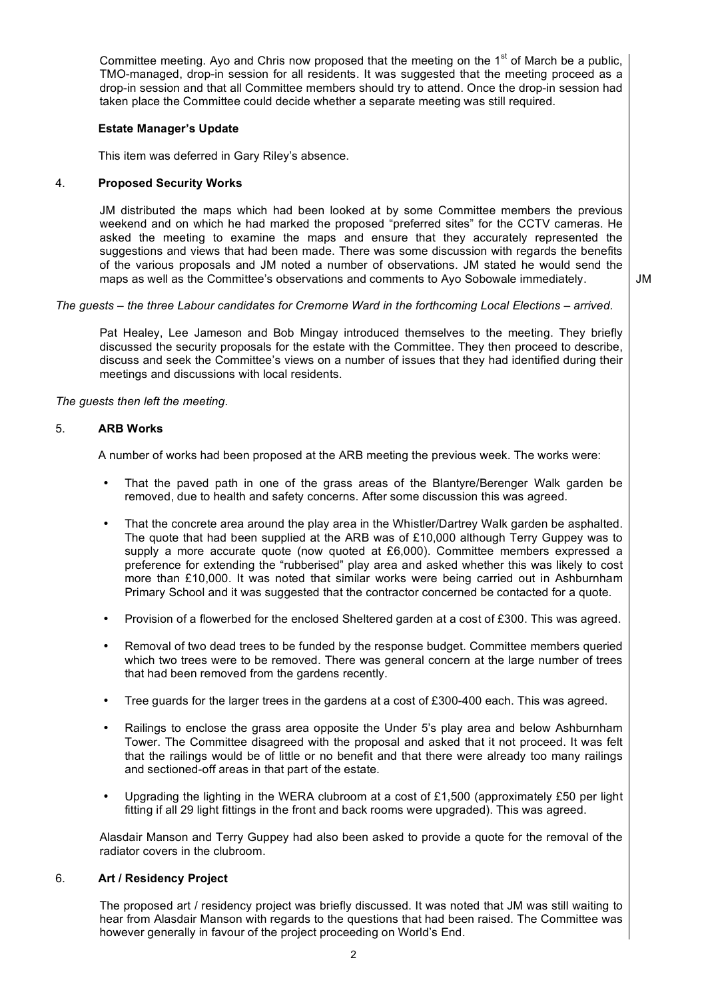Committee meeting. Ayo and Chris now proposed that the meeting on the 1<sup>st</sup> of March be a public, TMO-managed, drop-in session for all residents. It was suggested that the meeting proceed as a drop-in session and that all Committee members should try to attend. Once the drop-in session had taken place the Committee could decide whether a separate meeting was still required.

## **Estate Manager's Update**

This item was deferred in Gary Riley's absence.

## 4. **Proposed Security Works**

JM distributed the maps which had been looked at by some Committee members the previous weekend and on which he had marked the proposed "preferred sites" for the CCTV cameras. He asked the meeting to examine the maps and ensure that they accurately represented the suggestions and views that had been made. There was some discussion with regards the benefits of the various proposals and JM noted a number of observations. JM stated he would send the maps as well as the Committee's observations and comments to Ayo Sobowale immediately.

JM

## *The guests – the three Labour candidates for Cremorne Ward in the forthcoming Local Elections – arrived.*

Pat Healey, Lee Jameson and Bob Mingay introduced themselves to the meeting. They briefly discussed the security proposals for the estate with the Committee. They then proceed to describe, discuss and seek the Committee's views on a number of issues that they had identified during their meetings and discussions with local residents.

## *The guests then left the meeting.*

## 5. **ARB Works**

A number of works had been proposed at the ARB meeting the previous week. The works were:

- That the paved path in one of the grass areas of the Blantyre/Berenger Walk garden be removed, due to health and safety concerns. After some discussion this was agreed.
- That the concrete area around the play area in the Whistler/Dartrey Walk garden be asphalted. The quote that had been supplied at the ARB was of £10,000 although Terry Guppey was to supply a more accurate quote (now quoted at £6,000). Committee members expressed a preference for extending the "rubberised" play area and asked whether this was likely to cost more than £10,000. It was noted that similar works were being carried out in Ashburnham Primary School and it was suggested that the contractor concerned be contacted for a quote.
- Provision of a flowerbed for the enclosed Sheltered garden at a cost of £300. This was agreed.
- Removal of two dead trees to be funded by the response budget. Committee members queried which two trees were to be removed. There was general concern at the large number of trees that had been removed from the gardens recently.
- Tree guards for the larger trees in the gardens at a cost of £300-400 each. This was agreed.
- Railings to enclose the grass area opposite the Under 5's play area and below Ashburnham Tower. The Committee disagreed with the proposal and asked that it not proceed. It was felt that the railings would be of little or no benefit and that there were already too many railings and sectioned-off areas in that part of the estate.
- Upgrading the lighting in the WERA clubroom at a cost of £1,500 (approximately £50 per light fitting if all 29 light fittings in the front and back rooms were upgraded). This was agreed.

Alasdair Manson and Terry Guppey had also been asked to provide a quote for the removal of the radiator covers in the clubroom.

#### 6. **Art / Residency Project**

The proposed art / residency project was briefly discussed. It was noted that JM was still waiting to hear from Alasdair Manson with regards to the questions that had been raised. The Committee was however generally in favour of the project proceeding on World's End.